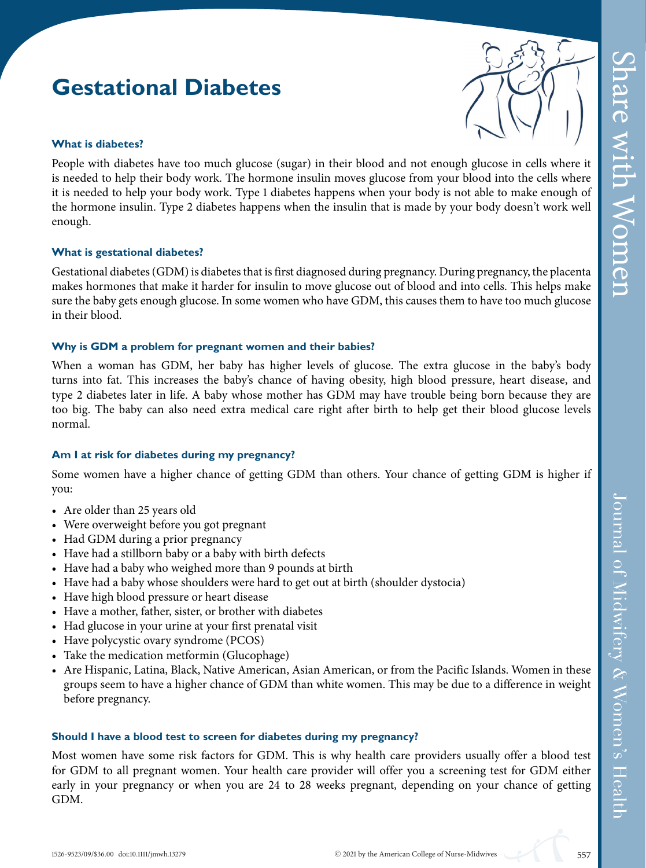# Share with Women hare with Women

# **Gestational Diabetes**



#### **What is diabetes?**

People with diabetes have too much glucose (sugar) in their blood and not enough glucose in cells where it is needed to help their body work. The hormone insulin moves glucose from your blood into the cells where it is needed to help your body work. Type 1 diabetes happens when your body is not able to make enough of the hormone insulin. Type 2 diabetes happens when the insulin that is made by your body doesn't work well enough.

#### **What is gestational diabetes?**

Gestational diabetes (GDM) is diabetes that is first diagnosed during pregnancy. During pregnancy, the placenta makes hormones that make it harder for insulin to move glucose out of blood and into cells. This helps make sure the baby gets enough glucose. In some women who have GDM, this causes them to have too much glucose in their blood.

#### **Why is GDM a problem for pregnant women and their babies?**

When a woman has GDM, her baby has higher levels of glucose. The extra glucose in the baby's body turns into fat. This increases the baby's chance of having obesity, high blood pressure, heart disease, and type 2 diabetes later in life.Ababy whose mother has GDM may have trouble being born because they are too big. The baby can also need extra medical care right after birth to help get their blood glucose levels normal.

#### **Am I at risk for diabetes during my pregnancy?**

Some women have a higher chance of getting GDM than others. Your chance of getting GDM is higher if you:

- Are older than 25 years old
- Were overweight before you got pregnant
- Had GDM during a prior pregnancy
- Have had a stillborn baby or a baby with birth defects
- Have had a baby who weighed more than 9 pounds at birth
- Have had a baby whose shoulders were hard to get out at birth (shoulder dystocia)
- Have high blood pressure or heart disease
- Have a mother, father, sister, or brother with diabetes
- Had glucose in your urine at your first prenatal visit
- Have polycystic ovary syndrome (PCOS)
- Take the medication metformin (Glucophage)
- Are Hispanic, Latina, Black, Native American, Asian American, or from the Pacific Islands. Women in these groups seem to have a higher chance of GDM than white women. This may be due to a difference in weight before pregnancy.

#### **Should I have a blood test to screen for diabetes during my pregnancy?**

Most women have some risk factors for GDM. This is why health care providers usually offer a blood test for GDM to all pregnant women. Your health care provider will offer you a screening test for GDM either early in your pregnancy or when you are 24 to 28 weeks pregnant, depending on your chance of getting GDM.